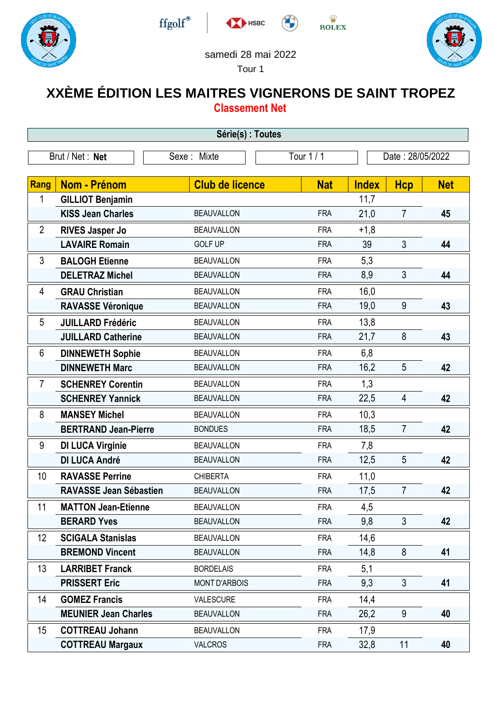







## samedi 28 mai 2022

HSBC

Tour 1

## **XXÈME ÉDITION LES MAITRES VIGNERONS DE SAINT TROPEZ Classement Net**

| Série(s) : Toutes                                                |                               |                        |            |              |                |            |  |
|------------------------------------------------------------------|-------------------------------|------------------------|------------|--------------|----------------|------------|--|
| Tour $1/1$<br>Brut / Net: Net<br>Sexe: Mixte<br>Date: 28/05/2022 |                               |                        |            |              |                |            |  |
|                                                                  |                               |                        |            |              |                |            |  |
| Rang                                                             | <b>Nom - Prénom</b>           | <b>Club de licence</b> | <b>Nat</b> | <b>Index</b> | <b>Hcp</b>     | <b>Net</b> |  |
| 1                                                                | <b>GILLIOT Benjamin</b>       |                        |            | 11,7         |                |            |  |
|                                                                  | <b>KISS Jean Charles</b>      | <b>BEAUVALLON</b>      | <b>FRA</b> | 21,0         | $\overline{7}$ | 45         |  |
| $\overline{2}$                                                   | <b>RIVES Jasper Jo</b>        | <b>BEAUVALLON</b>      | <b>FRA</b> | $+1,8$       |                |            |  |
|                                                                  | <b>LAVAIRE Romain</b>         | <b>GOLF UP</b>         | <b>FRA</b> | 39           | 3              | 44         |  |
| 3                                                                | <b>BALOGH Etienne</b>         | <b>BEAUVALLON</b>      | <b>FRA</b> | 5,3          |                |            |  |
|                                                                  | <b>DELETRAZ Michel</b>        | <b>BEAUVALLON</b>      | <b>FRA</b> | 8,9          | 3              | 44         |  |
| 4                                                                | <b>GRAU Christian</b>         | <b>BEAUVALLON</b>      | <b>FRA</b> | 16,0         |                |            |  |
|                                                                  | <b>RAVASSE Véronique</b>      | <b>BEAUVALLON</b>      | <b>FRA</b> | 19,0         | $9\,$          | 43         |  |
| 5                                                                | <b>JUILLARD Frédéric</b>      | <b>BEAUVALLON</b>      | <b>FRA</b> | 13,8         |                |            |  |
|                                                                  | <b>JUILLARD Catherine</b>     | <b>BEAUVALLON</b>      | <b>FRA</b> | 21,7         | 8              | 43         |  |
| $6\phantom{1}$                                                   | <b>DINNEWETH Sophie</b>       | <b>BEAUVALLON</b>      | <b>FRA</b> | 6,8          |                |            |  |
|                                                                  | <b>DINNEWETH Marc</b>         | <b>BEAUVALLON</b>      | <b>FRA</b> | 16,2         | 5              | 42         |  |
| $\overline{7}$                                                   | <b>SCHENREY Corentin</b>      | <b>BEAUVALLON</b>      | <b>FRA</b> | 1,3          |                |            |  |
|                                                                  | <b>SCHENREY Yannick</b>       | <b>BEAUVALLON</b>      | <b>FRA</b> | 22,5         | $\overline{4}$ | 42         |  |
| 8                                                                | <b>MANSEY Michel</b>          | <b>BEAUVALLON</b>      | <b>FRA</b> | 10,3         |                |            |  |
|                                                                  | <b>BERTRAND Jean-Pierre</b>   | <b>BONDUES</b>         | <b>FRA</b> | 18,5         | $\overline{7}$ | 42         |  |
| 9                                                                | <b>DI LUCA Virginie</b>       | <b>BEAUVALLON</b>      | <b>FRA</b> | 7,8          |                |            |  |
|                                                                  | <b>DI LUCA André</b>          | <b>BEAUVALLON</b>      | <b>FRA</b> | 12,5         | 5              | 42         |  |
| 10                                                               | <b>RAVASSE Perrine</b>        | <b>CHIBERTA</b>        | <b>FRA</b> | 11,0         |                |            |  |
|                                                                  | <b>RAVASSE Jean Sébastien</b> | <b>BEAUVALLON</b>      | <b>FRA</b> | 17,5         | $\overline{7}$ | 42         |  |
| 11                                                               | <b>MATTON Jean-Etienne</b>    | <b>BEAUVALLON</b>      | FRA        | 4,5          |                |            |  |
|                                                                  | <b>BERARD Yves</b>            | <b>BEAUVALLON</b>      | <b>FRA</b> | 9,8          | $\mathfrak{Z}$ | 42         |  |
| 12                                                               | <b>SCIGALA Stanislas</b>      | <b>BEAUVALLON</b>      | <b>FRA</b> | 14,6         |                |            |  |
|                                                                  | <b>BREMOND Vincent</b>        | <b>BEAUVALLON</b>      | <b>FRA</b> | 14,8         | 8              | 41         |  |
| 13                                                               | <b>LARRIBET Franck</b>        | <b>BORDELAIS</b>       | <b>FRA</b> | 5,1          |                |            |  |
|                                                                  | <b>PRISSERT Eric</b>          | <b>MONT D'ARBOIS</b>   | <b>FRA</b> | 9,3          | $\mathfrak{Z}$ | 41         |  |
| 14                                                               | <b>GOMEZ Francis</b>          | VALESCURE              | <b>FRA</b> | 14,4         |                |            |  |
|                                                                  | <b>MEUNIER Jean Charles</b>   | <b>BEAUVALLON</b>      | <b>FRA</b> | 26,2         | 9              | 40         |  |
| 15                                                               | <b>COTTREAU Johann</b>        | <b>BEAUVALLON</b>      | <b>FRA</b> | 17,9         |                |            |  |
|                                                                  | <b>COTTREAU Margaux</b>       | <b>VALCROS</b>         | <b>FRA</b> | 32,8         | 11             | 40         |  |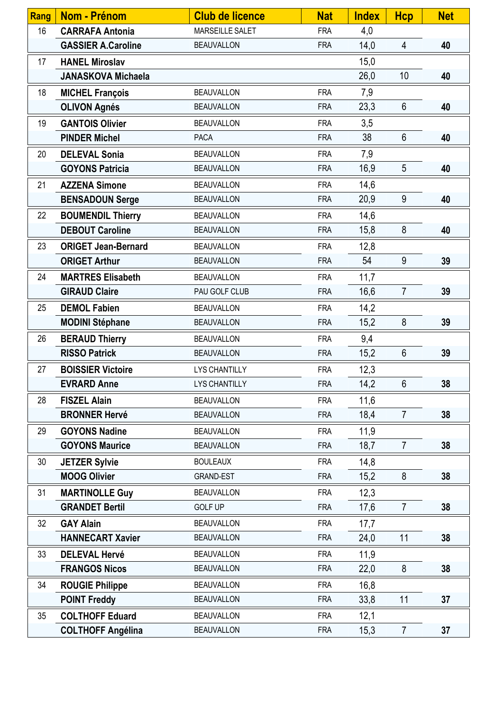| Rang | <b>Nom - Prénom</b>        | <b>Club de licence</b> | <b>Nat</b> | <b>Index</b> | <b>Hcp</b>      | <b>Net</b> |
|------|----------------------------|------------------------|------------|--------------|-----------------|------------|
| 16   | <b>CARRAFA Antonia</b>     | MARSEILLE SALET        | <b>FRA</b> | 4,0          |                 |            |
|      | <b>GASSIER A.Caroline</b>  | <b>BEAUVALLON</b>      | <b>FRA</b> | 14,0         | 4               | 40         |
| 17   | <b>HANEL Miroslav</b>      |                        |            | 15,0         |                 |            |
|      | <b>JANASKOVA Michaela</b>  |                        |            | 26,0         | 10              | 40         |
| 18   | <b>MICHEL François</b>     | <b>BEAUVALLON</b>      | <b>FRA</b> | 7,9          |                 |            |
|      | <b>OLIVON Agnés</b>        | <b>BEAUVALLON</b>      | <b>FRA</b> | 23,3         | 6               | 40         |
| 19   | <b>GANTOIS Olivier</b>     | <b>BEAUVALLON</b>      | <b>FRA</b> | 3,5          |                 |            |
|      | <b>PINDER Michel</b>       | <b>PACA</b>            | <b>FRA</b> | 38           | $6\phantom{.}6$ | 40         |
| 20   | <b>DELEVAL Sonia</b>       | <b>BEAUVALLON</b>      | <b>FRA</b> | 7,9          |                 |            |
|      | <b>GOYONS Patricia</b>     | <b>BEAUVALLON</b>      | <b>FRA</b> | 16,9         | $5\phantom{.0}$ | 40         |
| 21   | <b>AZZENA Simone</b>       | <b>BEAUVALLON</b>      | <b>FRA</b> | 14,6         |                 |            |
|      | <b>BENSADOUN Serge</b>     | <b>BEAUVALLON</b>      | <b>FRA</b> | 20,9         | 9               | 40         |
| 22   | <b>BOUMENDIL Thierry</b>   | <b>BEAUVALLON</b>      | <b>FRA</b> | 14,6         |                 |            |
|      | <b>DEBOUT Caroline</b>     | <b>BEAUVALLON</b>      | <b>FRA</b> | 15,8         | 8               | 40         |
| 23   | <b>ORIGET Jean-Bernard</b> | <b>BEAUVALLON</b>      | <b>FRA</b> | 12,8         |                 |            |
|      | <b>ORIGET Arthur</b>       | <b>BEAUVALLON</b>      | <b>FRA</b> | 54           | 9               | 39         |
| 24   | <b>MARTRES Elisabeth</b>   | <b>BEAUVALLON</b>      | <b>FRA</b> | 11,7         |                 |            |
|      | <b>GIRAUD Claire</b>       | PAU GOLF CLUB          | <b>FRA</b> | 16,6         | $\overline{7}$  | 39         |
| 25   | <b>DEMOL Fabien</b>        | <b>BEAUVALLON</b>      | <b>FRA</b> | 14,2         |                 |            |
|      | <b>MODINI Stéphane</b>     | <b>BEAUVALLON</b>      | <b>FRA</b> | 15,2         | 8               | 39         |
| 26   | <b>BERAUD Thierry</b>      | <b>BEAUVALLON</b>      | <b>FRA</b> | 9,4          |                 |            |
|      | <b>RISSO Patrick</b>       | <b>BEAUVALLON</b>      | <b>FRA</b> | 15,2         | 6               | 39         |
| 27   | <b>BOISSIER Victoire</b>   | <b>LYS CHANTILLY</b>   | <b>FRA</b> | 12,3         |                 |            |
|      | <b>EVRARD Anne</b>         | <b>LYS CHANTILLY</b>   | <b>FRA</b> | 14,2         | $6\phantom{.}$  | 38         |
| 28   | <b>FISZEL Alain</b>        | <b>BEAUVALLON</b>      | <b>FRA</b> | 11,6         |                 |            |
|      | <b>BRONNER Hervé</b>       | <b>BEAUVALLON</b>      | <b>FRA</b> | 18,4         | $\overline{7}$  | 38         |
| 29   | <b>GOYONS Nadine</b>       | <b>BEAUVALLON</b>      | <b>FRA</b> | 11,9         |                 |            |
|      | <b>GOYONS Maurice</b>      | <b>BEAUVALLON</b>      | <b>FRA</b> | 18,7         | $\overline{7}$  | 38         |
| 30   | <b>JETZER Sylvie</b>       | <b>BOULEAUX</b>        | <b>FRA</b> | 14,8         |                 |            |
|      | <b>MOOG Olivier</b>        | <b>GRAND-EST</b>       | <b>FRA</b> | 15,2         | 8               | 38         |
| 31   | <b>MARTINOLLE Guy</b>      | <b>BEAUVALLON</b>      | <b>FRA</b> | 12,3         |                 |            |
|      | <b>GRANDET Bertil</b>      | <b>GOLF UP</b>         | <b>FRA</b> | 17,6         | $\overline{7}$  | 38         |
| 32   | <b>GAY Alain</b>           | <b>BEAUVALLON</b>      | <b>FRA</b> | 17,7         |                 |            |
|      | <b>HANNECART Xavier</b>    | <b>BEAUVALLON</b>      | <b>FRA</b> | 24,0         | 11              | 38         |
| 33   | <b>DELEVAL Hervé</b>       | <b>BEAUVALLON</b>      | <b>FRA</b> | 11,9         |                 |            |
|      | <b>FRANGOS Nicos</b>       | <b>BEAUVALLON</b>      | <b>FRA</b> | 22,0         | 8               | 38         |
| 34   | <b>ROUGIE Philippe</b>     | <b>BEAUVALLON</b>      | <b>FRA</b> | 16,8         |                 |            |
|      | <b>POINT Freddy</b>        | <b>BEAUVALLON</b>      | <b>FRA</b> | 33,8         | 11              | 37         |
| 35   | <b>COLTHOFF Eduard</b>     | <b>BEAUVALLON</b>      | <b>FRA</b> | 12,1         |                 |            |
|      | <b>COLTHOFF Angélina</b>   | <b>BEAUVALLON</b>      | <b>FRA</b> | 15,3         | $\overline{7}$  | 37         |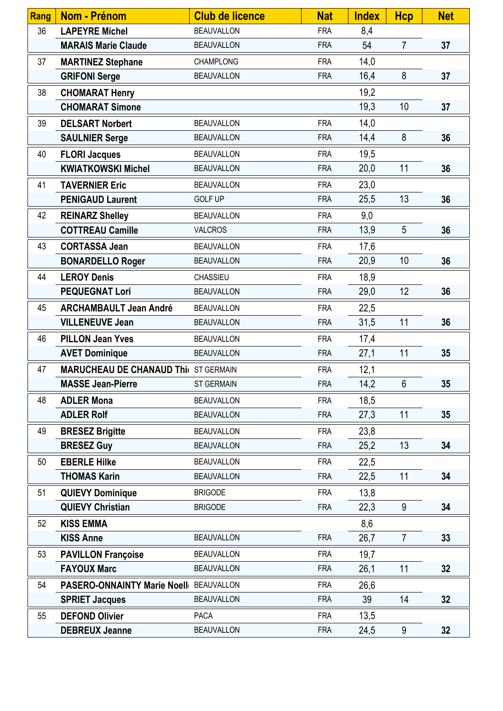| Rang | <b>Nom - Prénom</b>                         | <b>Club de licence</b> | <b>Nat</b> | <b>Index</b> | <b>Hcp</b>     | <b>Net</b> |
|------|---------------------------------------------|------------------------|------------|--------------|----------------|------------|
| 36   | <b>LAPEYRE Michel</b>                       | <b>BEAUVALLON</b>      | <b>FRA</b> | 8,4          |                |            |
|      | <b>MARAIS Marie Claude</b>                  | <b>BEAUVALLON</b>      | <b>FRA</b> | 54           | $\overline{7}$ | 37         |
| 37   | <b>MARTINEZ Stephane</b>                    | <b>CHAMPLONG</b>       | <b>FRA</b> | 14,0         |                |            |
|      | <b>GRIFONI Serge</b>                        | <b>BEAUVALLON</b>      | <b>FRA</b> | 16,4         | 8              | 37         |
| 38   | <b>CHOMARAT Henry</b>                       |                        |            | 19,2         |                |            |
|      | <b>CHOMARAT Simone</b>                      |                        |            | 19,3         | 10             | 37         |
| 39   | <b>DELSART Norbert</b>                      | <b>BEAUVALLON</b>      | <b>FRA</b> | 14,0         |                |            |
|      | <b>SAULNIER Serge</b>                       | <b>BEAUVALLON</b>      | <b>FRA</b> | 14,4         | 8              | 36         |
| 40   | <b>FLORI Jacques</b>                        | <b>BEAUVALLON</b>      | <b>FRA</b> | 19,5         |                |            |
|      | <b>KWIATKOWSKI Michel</b>                   | <b>BEAUVALLON</b>      | <b>FRA</b> | 20,0         | 11             | 36         |
| 41   | <b>TAVERNIER Eric</b>                       | <b>BEAUVALLON</b>      | <b>FRA</b> | 23,0         |                |            |
|      | <b>PENIGAUD Laurent</b>                     | <b>GOLF UP</b>         | <b>FRA</b> | 25,5         | 13             | 36         |
| 42   | <b>REINARZ Shelley</b>                      | <b>BEAUVALLON</b>      | <b>FRA</b> | 9,0          |                |            |
|      | <b>COTTREAU Camille</b>                     | <b>VALCROS</b>         | <b>FRA</b> | 13,9         | 5              | 36         |
| 43   | <b>CORTASSA Jean</b>                        | <b>BEAUVALLON</b>      | <b>FRA</b> | 17,6         |                |            |
|      | <b>BONARDELLO Roger</b>                     | <b>BEAUVALLON</b>      | <b>FRA</b> | 20,9         | 10             | 36         |
| 44   | <b>LEROY Denis</b>                          | CHASSIEU               | <b>FRA</b> | 18,9         |                |            |
|      | <b>PEQUEGNAT Lori</b>                       | <b>BEAUVALLON</b>      | <b>FRA</b> | 29,0         | 12             | 36         |
| 45   | <b>ARCHAMBAULT Jean André</b>               | <b>BEAUVALLON</b>      | <b>FRA</b> | 22,5         |                |            |
|      | <b>VILLENEUVE Jean</b>                      | <b>BEAUVALLON</b>      | <b>FRA</b> | 31,5         | 11             | 36         |
| 46   | <b>PILLON Jean Yves</b>                     | <b>BEAUVALLON</b>      | <b>FRA</b> | 17,4         |                |            |
|      | <b>AVET Dominique</b>                       | <b>BEAUVALLON</b>      | <b>FRA</b> | 27,1         | 11             | 35         |
| 47   | <b>MARUCHEAU DE CHANAUD Thi( ST GERMAIN</b> |                        | <b>FRA</b> | 12,1         |                |            |
|      | <b>MASSE Jean-Pierre</b>                    | <b>ST GERMAIN</b>      | <b>FRA</b> | 14,2         | $6\,$          | 35         |
| 48   | <b>ADLER Mona</b>                           | <b>BEAUVALLON</b>      | <b>FRA</b> | 18,5         |                |            |
|      | <b>ADLER Rolf</b>                           | <b>BEAUVALLON</b>      | <b>FRA</b> | 27,3         | 11             | 35         |
| 49   | <b>BRESEZ Brigitte</b>                      | <b>BEAUVALLON</b>      | <b>FRA</b> | 23,8         |                |            |
|      | <b>BRESEZ Guy</b>                           | <b>BEAUVALLON</b>      | <b>FRA</b> | 25,2         | 13             | 34         |
| 50   | <b>EBERLE Hilke</b>                         | <b>BEAUVALLON</b>      | <b>FRA</b> | 22,5         |                |            |
|      | <b>THOMAS Karin</b>                         | <b>BEAUVALLON</b>      | <b>FRA</b> | 22,5         | 11             | 34         |
| 51   | <b>QUIEVY Dominique</b>                     | <b>BRIGODE</b>         | <b>FRA</b> | 13,8         |                |            |
|      | <b>QUIEVY Christian</b>                     | <b>BRIGODE</b>         | <b>FRA</b> | 22,3         | 9              | 34         |
| 52   | <b>KISS EMMA</b>                            |                        |            | 8,6          |                |            |
|      | <b>KISS Anne</b>                            | <b>BEAUVALLON</b>      | <b>FRA</b> | 26,7         | $\overline{7}$ | 33         |
| 53   | <b>PAVILLON Françoise</b>                   | <b>BEAUVALLON</b>      | <b>FRA</b> | 19,7         |                |            |
|      | <b>FAYOUX Marc</b>                          | <b>BEAUVALLON</b>      | <b>FRA</b> | 26,1         | 11             | 32         |
| 54   | PASERO-ONNAINTY Marie Noell BEAUVALLON      |                        | <b>FRA</b> | 26,6         |                |            |
|      | <b>SPRIET Jacques</b>                       | <b>BEAUVALLON</b>      | <b>FRA</b> | 39           | 14             | 32         |
| 55   | <b>DEFOND Olivier</b>                       | <b>PACA</b>            | <b>FRA</b> | 13,5         |                |            |
|      | <b>DEBREUX Jeanne</b>                       | <b>BEAUVALLON</b>      | <b>FRA</b> | 24,5         | 9              | 32         |